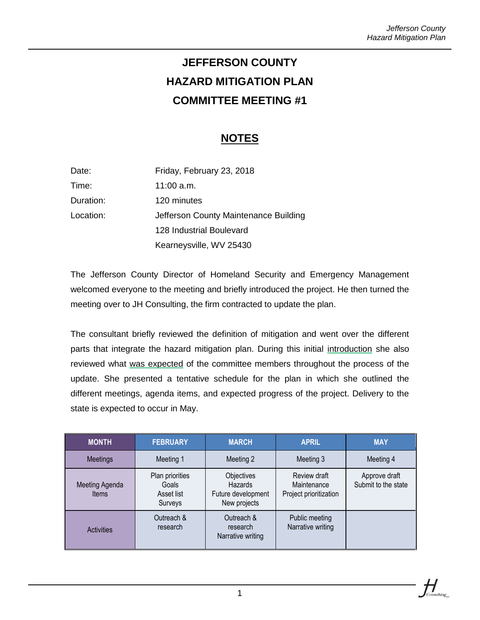# **JEFFERSON COUNTY HAZARD MITIGATION PLAN COMMITTEE MEETING #1**

# **NOTES**

| Date:     | Friday, February 23, 2018             |  |  |
|-----------|---------------------------------------|--|--|
| Time:     | 11:00 a.m.                            |  |  |
| Duration: | 120 minutes                           |  |  |
| Location: | Jefferson County Maintenance Building |  |  |
|           | 128 Industrial Boulevard              |  |  |
|           | Kearneysville, WV 25430               |  |  |

The Jefferson County Director of Homeland Security and Emergency Management welcomed everyone to the meeting and briefly introduced the project. He then turned the meeting over to JH Consulting, the firm contracted to update the plan.

The consultant briefly reviewed the definition of mitigation and went over the different parts that integrate the hazard mitigation plan. During this initial introduction she also reviewed what was expected of the committee members throughout the process of the update. She presented a tentative schedule for the plan in which she outlined the different meetings, agenda items, and expected progress of the project. Delivery to the state is expected to occur in May.

| <b>MONTH</b>            | <b>FEBRUARY</b>                                   | <b>MARCH</b>                                                | <b>APRIL</b>                                          | <b>MAY</b>                           |
|-------------------------|---------------------------------------------------|-------------------------------------------------------------|-------------------------------------------------------|--------------------------------------|
| <b>Meetings</b>         | Meeting 1                                         | Meeting 2                                                   | Meeting 3                                             | Meeting 4                            |
| Meeting Agenda<br>Items | Plan priorities<br>Goals<br>Asset list<br>Surveys | Objectives<br>Hazards<br>Future development<br>New projects | Review draft<br>Maintenance<br>Project prioritization | Approve draft<br>Submit to the state |
| <b>Activities</b>       | Outreach &<br>research                            | Outreach &<br>research<br>Narrative writing                 | Public meeting<br>Narrative writing                   |                                      |

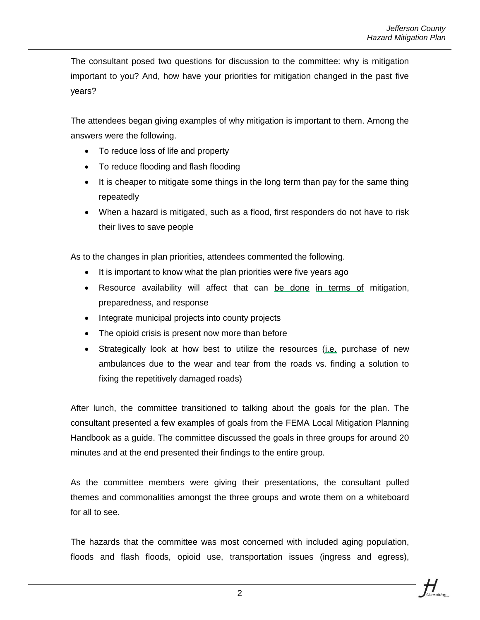The consultant posed two questions for discussion to the committee: why is mitigation important to you? And, how have your priorities for mitigation changed in the past five years?

The attendees began giving examples of why mitigation is important to them. Among the answers were the following.

- To reduce loss of life and property
- To reduce flooding and flash flooding
- It is cheaper to mitigate some things in the long term than pay for the same thing repeatedly
- When a hazard is mitigated, such as a flood, first responders do not have to risk their lives to save people

As to the changes in plan priorities, attendees commented the following.

- It is important to know what the plan priorities were five years ago
- Resource availability will affect that can be done in terms of mitigation, preparedness, and response
- Integrate municipal projects into county projects
- The opioid crisis is present now more than before
- Strategically look at how best to utilize the resources (i.e. purchase of new ambulances due to the wear and tear from the roads vs. finding a solution to fixing the repetitively damaged roads)

After lunch, the committee transitioned to talking about the goals for the plan. The consultant presented a few examples of goals from the FEMA Local Mitigation Planning Handbook as a guide. The committee discussed the goals in three groups for around 20 minutes and at the end presented their findings to the entire group.

As the committee members were giving their presentations, the consultant pulled themes and commonalities amongst the three groups and wrote them on a whiteboard for all to see.

The hazards that the committee was most concerned with included aging population, floods and flash floods, opioid use, transportation issues (ingress and egress),

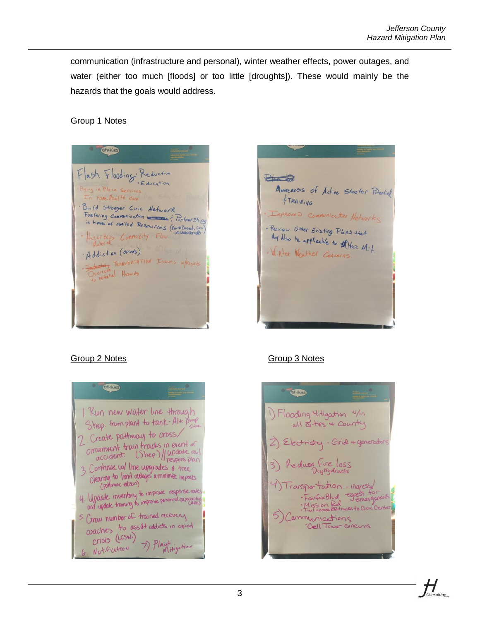communication (infrastructure and personal), winter weather effects, power outages, and water (either too much [floods] or too little [droughts]). These would mainly be the hazards that the goals would address.

### Group 1 Notes

**Stickies** Flash Flooding Reduction in Place Services Home Health Care · Build Stronger Ciric Network Hizardous Cumnodity Flow · Addiction (opieds) FRANSPORTATION Issues w/Regards Overcome Hazards





## Group 2 Notes Group 3 Notes



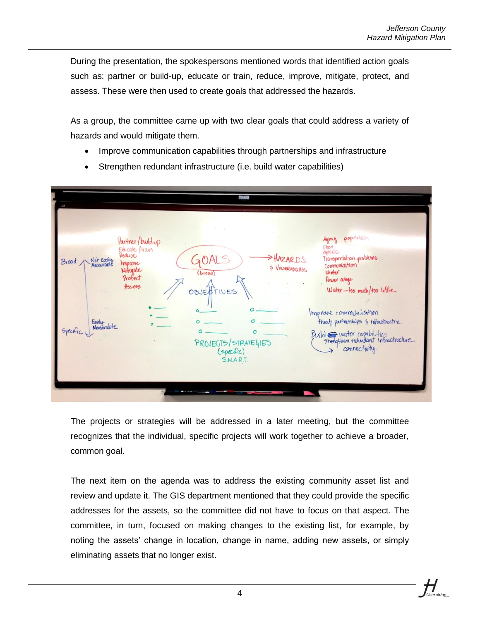During the presentation, the spokespersons mentioned words that identified action goals such as: partner or build-up, educate or train, reduce, improve, mitigate, protect, and assess. These were then used to create goals that addressed the hazards.

As a group, the committee came up with two clear goals that could address a variety of hazards and would mitigate them.

- Improve communication capabilities through partnerships and infrastructure
- population Partner/build-up Aging  $C$ Educate Hrain Reduce Not Easily GOAL Transportation problems HAZAR D.S Broad Improve Communication \$ VULNERABILITIES Mitigate Winter Protect Power arage  $A_5.155$ Water-too much/too little IVES OBIED یہ morare communication throut partnerships & infrastructre. Easily<br>Measurable  $\mathcal{O}$  $\overline{a}$ Specific  $\sigma$  $Bx \mid d$   $\implies$  water capabilities Strengthen redundant infractricture PROJECTS/STRATEGIES connectivity (specific) **S.N.A.R.T.**
- Strengthen redundant infrastructure (i.e. build water capabilities)

The projects or strategies will be addressed in a later meeting, but the committee recognizes that the individual, specific projects will work together to achieve a broader, common goal.

The next item on the agenda was to address the existing community asset list and review and update it. The GIS department mentioned that they could provide the specific addresses for the assets, so the committee did not have to focus on that aspect. The committee, in turn, focused on making changes to the existing list, for example, by noting the assets' change in location, change in name, adding new assets, or simply eliminating assets that no longer exist.